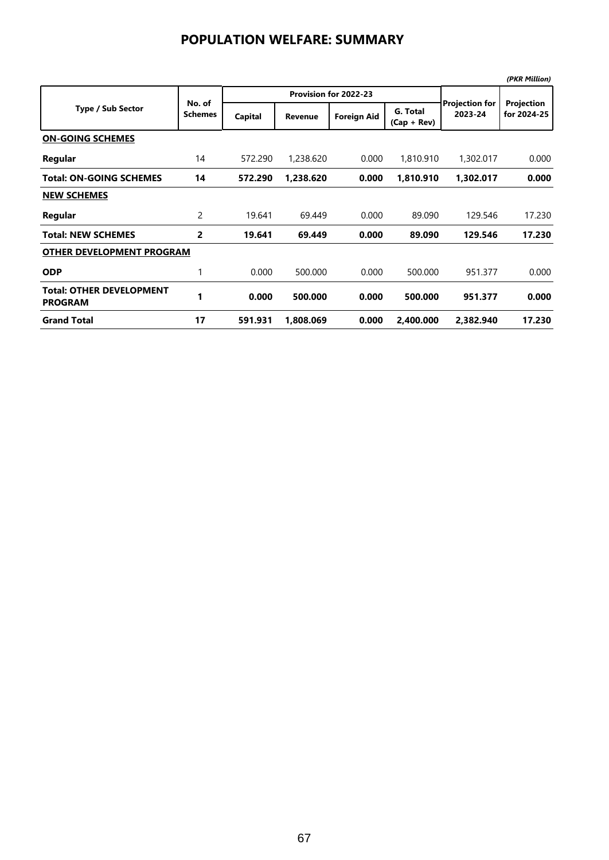## **POPULATION WELFARE: SUMMARY**

|                                                   |                          |         |                       |                    |                           |                                  | (PKR Million)             |  |  |
|---------------------------------------------------|--------------------------|---------|-----------------------|--------------------|---------------------------|----------------------------------|---------------------------|--|--|
| <b>Type / Sub Sector</b>                          | No. of<br><b>Schemes</b> |         | Provision for 2022-23 |                    |                           |                                  |                           |  |  |
|                                                   |                          | Capital | <b>Revenue</b>        | <b>Foreign Aid</b> | G. Total<br>$(Cap + Rev)$ | <b>Projection for</b><br>2023-24 | Projection<br>for 2024-25 |  |  |
| <b>ON-GOING SCHEMES</b>                           |                          |         |                       |                    |                           |                                  |                           |  |  |
| Regular                                           | 14                       | 572.290 | 1,238,620             | 0.000              | 1,810.910                 | 1,302.017                        | 0.000                     |  |  |
| <b>Total: ON-GOING SCHEMES</b>                    | 14                       | 572.290 | 1,238.620             | 0.000              | 1,810.910                 | 1,302.017                        | 0.000                     |  |  |
| <b>NEW SCHEMES</b>                                |                          |         |                       |                    |                           |                                  |                           |  |  |
| Regular                                           | 2                        | 19.641  | 69.449                | 0.000              | 89.090                    | 129.546                          | 17.230                    |  |  |
| <b>Total: NEW SCHEMES</b>                         | 2                        | 19.641  | 69.449                | 0.000              | 89.090                    | 129.546                          | 17.230                    |  |  |
| <b>OTHER DEVELOPMENT PROGRAM</b>                  |                          |         |                       |                    |                           |                                  |                           |  |  |
| <b>ODP</b>                                        | 1                        | 0.000   | 500.000               | 0.000              | 500.000                   | 951.377                          | 0.000                     |  |  |
| <b>Total: OTHER DEVELOPMENT</b><br><b>PROGRAM</b> | 1                        | 0.000   | 500.000               | 0.000              | 500.000                   | 951.377                          | 0.000                     |  |  |
| <b>Grand Total</b>                                | 17                       | 591.931 | 1,808.069             | 0.000              | 2,400.000                 | 2,382.940                        | 17.230                    |  |  |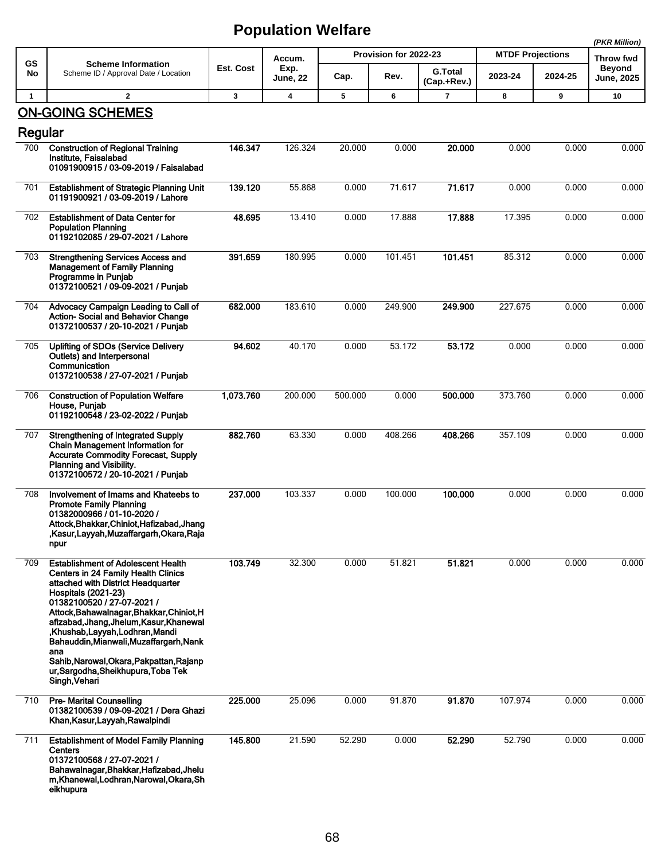## **Population Welfare**

|              |                                                                                                                                                                                                                                                                                                                                                                                                                   |           |                                   |                       |         |                               |                         |         | (PKR Million)                      |
|--------------|-------------------------------------------------------------------------------------------------------------------------------------------------------------------------------------------------------------------------------------------------------------------------------------------------------------------------------------------------------------------------------------------------------------------|-----------|-----------------------------------|-----------------------|---------|-------------------------------|-------------------------|---------|------------------------------------|
| GS           | <b>Scheme Information</b><br>Scheme ID / Approval Date / Location                                                                                                                                                                                                                                                                                                                                                 | Est. Cost | Accum.<br>Exp.<br><b>June, 22</b> | Provision for 2022-23 |         |                               | <b>MTDF Projections</b> |         | Throw fwd                          |
| No           |                                                                                                                                                                                                                                                                                                                                                                                                                   |           |                                   | Cap.                  | Rev.    | <b>G.Total</b><br>(Cap.+Rev.) | 2023-24                 | 2024-25 | <b>Beyond</b><br><b>June, 2025</b> |
| $\mathbf{1}$ | $\mathbf{2}$                                                                                                                                                                                                                                                                                                                                                                                                      | 3         | 4                                 | 5                     | 6       | 7                             | 8                       | 9       | 10                                 |
|              | <b>ON-GOING SCHEMES</b>                                                                                                                                                                                                                                                                                                                                                                                           |           |                                   |                       |         |                               |                         |         |                                    |
| Regular      |                                                                                                                                                                                                                                                                                                                                                                                                                   |           |                                   |                       |         |                               |                         |         |                                    |
| 700          | <b>Construction of Regional Training</b><br>Institute, Faisalabad<br>01091900915 / 03-09-2019 / Faisalabad                                                                                                                                                                                                                                                                                                        | 146.347   | 126.324                           | 20.000                | 0.000   | 20.000                        | 0.000                   | 0.000   | 0.000                              |
| 701          | <b>Establishment of Strategic Planning Unit</b><br>01191900921 / 03-09-2019 / Lahore                                                                                                                                                                                                                                                                                                                              | 139.120   | 55.868                            | 0.000                 | 71.617  | 71.617                        | 0.000                   | 0.000   | 0.000                              |
| 702          | <b>Establishment of Data Center for</b><br><b>Population Planning</b><br>01192102085 / 29-07-2021 / Lahore                                                                                                                                                                                                                                                                                                        | 48.695    | 13.410                            | 0.000                 | 17.888  | 17.888                        | 17.395                  | 0.000   | 0.000                              |
| 703          | <b>Strengthening Services Access and</b><br><b>Management of Family Planning</b><br>Programme in Punjab<br>01372100521 / 09-09-2021 / Punjab                                                                                                                                                                                                                                                                      | 391.659   | 180.995                           | 0.000                 | 101.451 | 101.451                       | 85.312                  | 0.000   | 0.000                              |
| 704          | Advocacy Campaign Leading to Call of<br>Action-Social and Behavior Change<br>01372100537 / 20-10-2021 / Punjab                                                                                                                                                                                                                                                                                                    | 682.000   | 183.610                           | 0.000                 | 249.900 | 249.900                       | 227.675                 | 0.000   | 0.000                              |
| 705          | <b>Uplifting of SDOs (Service Delivery</b><br>Outlets) and Interpersonal<br>Communication<br>01372100538 / 27-07-2021 / Punjab                                                                                                                                                                                                                                                                                    | 94.602    | 40.170                            | 0.000                 | 53.172  | 53.172                        | 0.000                   | 0.000   | 0.000                              |
| 706          | <b>Construction of Population Welfare</b><br>House, Punjab<br>01192100548 / 23-02-2022 / Punjab                                                                                                                                                                                                                                                                                                                   | 1,073.760 | 200.000                           | 500.000               | 0.000   | 500.000                       | 373.760                 | 0.000   | 0.000                              |
| 707          | <b>Strengthening of Integrated Supply</b><br><b>Chain Management Information for</b><br><b>Accurate Commodity Forecast, Supply</b><br>Planning and Visibility.<br>01372100572 / 20-10-2021 / Punjab                                                                                                                                                                                                               | 882.760   | 63.330                            | 0.000                 | 408.266 | 408.266                       | 357.109                 | 0.000   | 0.000                              |
| 708          | Involvement of Imams and Khateebs to<br><b>Promote Family Planning</b><br>01382000966 / 01-10-2020 /<br>Attock, Bhakkar, Chiniot, Hafizabad, Jhang<br>,Kasur,Layyah,Muzaffargarh,Okara,Raja<br>npur                                                                                                                                                                                                               | 237.000   | 103.337                           | 0.000                 | 100.000 | 100.000                       | 0.000                   | 0.000   | 0.000                              |
| 709          | <b>Establishment of Adolescent Health</b><br><b>Centers in 24 Family Health Clinics</b><br>attached with District Headquarter<br><b>Hospitals (2021-23)</b><br>01382100520 / 27-07-2021 /<br>Attock, Bahawalnagar, Bhakkar, Chiniot, H<br>afizabad, Jhang, Jhelum, Kasur, Khanewal<br>,Khushab,Layyah,Lodhran,Mandi<br>Bahauddin, Mianwali, Muzaffargarh, Nank<br>ana<br>Sahib, Narowal, Okara, Pakpattan, Rajanp | 103.749   | 32.300                            | 0.000                 | 51.821  | 51.821                        | 0.000                   | 0.000   | 0.000                              |
|              | ur, Sargodha, Sheikhupura, Toba Tek<br>Singh, Vehari                                                                                                                                                                                                                                                                                                                                                              |           |                                   |                       |         |                               |                         |         |                                    |
| 710          | <b>Pre- Marital Counselling</b><br>01382100539 / 09-09-2021 / Dera Ghazi<br>Khan, Kasur, Layyah, Rawalpindi                                                                                                                                                                                                                                                                                                       | 225.000   | 25.096                            | 0.000                 | 91.870  | 91.870                        | 107.974                 | 0.000   | 0.000                              |
| 711          | <b>Establishment of Model Family Planning</b><br><b>Centers</b><br>01372100568 / 27-07-2021 /<br>Bahawalnagar, Bhakkar, Hafizabad, Jhelu<br>m, Khanewal, Lodhran, Narowal, Okara, Sh<br>eikhupura                                                                                                                                                                                                                 | 145.800   | 21.590                            | 52.290                | 0.000   | 52.290                        | 52.790                  | 0.000   | 0.000                              |